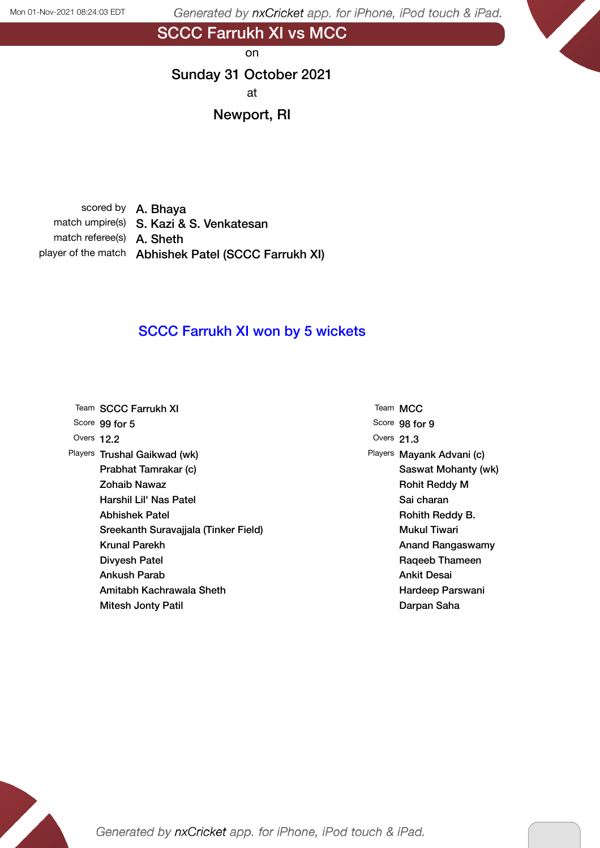SCCC Farrukh XI vs MCC

on

### Sunday 31 October 2021

at

### Newport, RI

scored by **A. Bhaya** match umpire(s) S. Kazi & S. Venkatesan match referee(s) **A. Sheth** player of the match Abhishek Patel (SCCC Farrukh XI)

### SCCC Farrukh XI won by 5 wickets

| Team SCCC Farrukh XI                 |
|--------------------------------------|
| Score 99 for 5                       |
| Overs $12.2$                         |
| Players Trushal Gaikwad (wk)         |
| Prabhat Tamrakar (c)                 |
| Zohaib Nawaz                         |
| Harshil Lil' Nas Patel               |
| Abhishek Patel                       |
| Sreekanth Suravajjala (Tinker Field) |
| Krunal Parekh                        |
| Divyesh Patel                        |
| Ankush Parab                         |
| Amitabh Kachrawala Sheth             |
| Mitesh Jonty Patil                   |
|                                      |

Team MCC Score 98 for 9 Overs 21.3 Players Mayank Advani (c) Saswat Mohanty (wk) Rohit Reddy M Sai charan Rohith Reddy B. Mukul Tiwari Anand Rangaswamy Raqeeb Thameen Ankit Desai Hardeep Parswani Darpan Saha

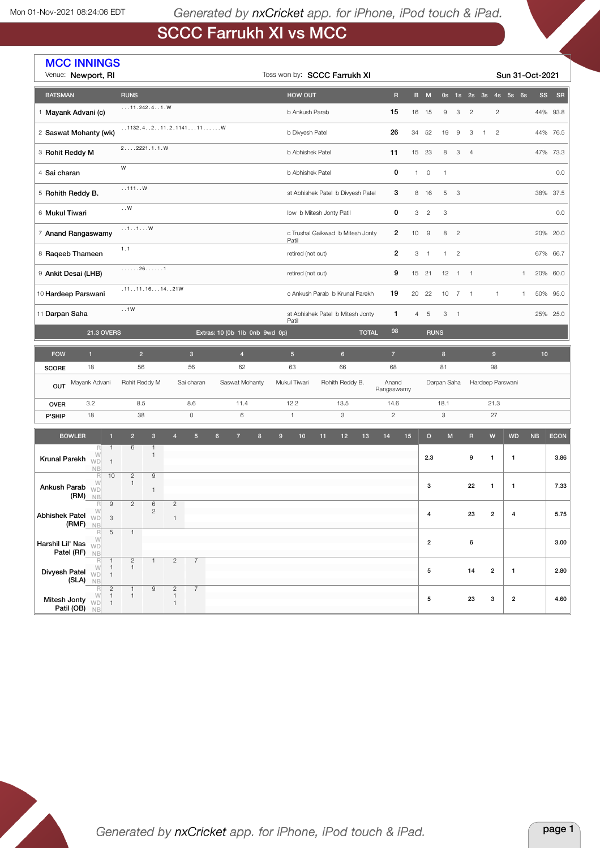r.

Generated by nxCricket app. for iPhone, iPod touch & iPad.

# SCCC Farrukh XI vs MCC

| <b>MCC INNINGS</b><br>Venue: Newport, RI                                                                 |                               |                                        |                                                |                |                                  |                                |                                        | Toss won by: SCCC Farrukh XI     |              |                     |                |                         |              |                          |                |                         |                  |                         | Sun 31-Oct-2021 |             |
|----------------------------------------------------------------------------------------------------------|-------------------------------|----------------------------------------|------------------------------------------------|----------------|----------------------------------|--------------------------------|----------------------------------------|----------------------------------|--------------|---------------------|----------------|-------------------------|--------------|--------------------------|----------------|-------------------------|------------------|-------------------------|-----------------|-------------|
| <b>BATSMAN</b>                                                                                           | <b>RUNS</b>                   |                                        |                                                |                |                                  |                                | <b>HOW OUT</b>                         |                                  |              | $\overline{R}$      |                | B M                     |              |                          |                |                         |                  | 0s 1s 2s 3s 4s 5s 6s    | SS              | SR          |
| 1 Mayank Advani (c)                                                                                      |                               | 11.242.41.W<br>b Ankush Parab          |                                                |                |                                  |                                |                                        |                                  |              | 15                  |                | 16 15                   | 9            | 3                        | $\overline{c}$ |                         | $\overline{c}$   |                         |                 | 44% 93.8    |
| 2 Saswat Mohanty (wk)                                                                                    |                               | 1132.4211.2.114111W<br>b Divyesh Patel |                                                |                |                                  |                                |                                        |                                  |              | 26                  |                | 34 52                   | 19           | 9                        | 3              | $\overline{1}$          | $\overline{c}$   |                         |                 | 44% 76.5    |
| 3 Rohit Reddy M                                                                                          |                               | 22221.1.1.W                            |                                                |                |                                  |                                | 11<br>b Abhishek Patel                 |                                  |              |                     |                | 15 23                   | 8            | $_{\rm 3}$               | $\overline{4}$ |                         |                  |                         | 47%             | 73.3        |
| 4 Sai charan                                                                                             | W                             |                                        |                                                |                |                                  |                                | 0<br>b Abhishek Patel                  |                                  |              |                     |                | $\mathsf{O}$            | $\mathbf{1}$ |                          |                |                         |                  |                         |                 | 0.0         |
| 5 Rohith Reddy B.                                                                                        | . .111. . W                   |                                        |                                                |                |                                  |                                | 3<br>st Abhishek Patel b Divyesh Patel |                                  |              |                     |                | 8 16                    | 5            | $\overline{\phantom{a}}$ |                |                         |                  |                         | 38%             | 37.5        |
| 6 Mukul Tiwari                                                                                           | $\ldots$ W                    |                                        |                                                |                |                                  |                                | 0<br>Ibw b Mitesh Jonty Patil          |                                  |              |                     |                |                         | 3            |                          |                |                         |                  |                         |                 | 0.0         |
| 7 Anand Rangaswamy                                                                                       | $\dots$ 11W                   |                                        |                                                |                |                                  |                                | Patil                                  | c Trushal Gaikwad b Mitesh Jonty |              | 2                   | 10             | 9                       | 8            | $\overline{c}$           |                |                         |                  |                         | 20%             | 20.0        |
| 8 Raqeeb Thameen                                                                                         | 1.1                           |                                        |                                                |                |                                  |                                | retired (not out)                      |                                  |              | $\overline{2}$      | 3              | $\overline{1}$          | 1            | $\overline{c}$           |                |                         |                  |                         | 67%             | 66.7        |
| 9 Ankit Desai (LHB)                                                                                      |                               | . 26 1                                 |                                                |                |                                  |                                | retired (not out)                      |                                  |              | 9                   |                | 15 21                   | 12           | $\overline{1}$           | $\overline{1}$ |                         |                  | 1                       | 20%             | 60.0        |
| .1111.161421W<br>10 Hardeep Parswani                                                                     |                               |                                        |                                                |                |                                  | c Ankush Parab b Krunal Parekh |                                        | 20 22                            | 10           | $\overline{7}$      | $\overline{1}$ |                         | $\mathbf{1}$ | $\mathbf{1}$             |                | 50% 95.0                |                  |                         |                 |             |
| 11 Darpan Saha                                                                                           | .1W                           |                                        |                                                |                |                                  |                                | Patil                                  | st Abhishek Patel b Mitesh Jonty |              | $\mathbf{1}$        | $\overline{4}$ | $\overline{5}$          | 3            | $\overline{1}$           |                |                         |                  |                         |                 | 25% 25.0    |
| <b>21.3 OVERS</b>                                                                                        |                               |                                        |                                                |                | Extras: 10 (0b 1lb 0nb 9wd 0p)   |                                |                                        |                                  | <b>TOTAL</b> | 98                  |                | <b>RUNS</b>             |              |                          |                |                         |                  |                         |                 |             |
| <b>FOW</b><br>$\mathbf{1}$                                                                               |                               | 2 <sup>1</sup>                         |                                                | $\mathbf 3$    | $\overline{4}$                   |                                | 5 <sub>5</sub>                         | $6\phantom{a}$                   |              | $\overline{7}$      |                |                         | $\bf 8$      |                          |                |                         | $\boldsymbol{9}$ |                         | 10 <sup>°</sup> |             |
| 18<br><b>SCORE</b>                                                                                       |                               | 56                                     |                                                | 56             | 62                               |                                | 63                                     | 66                               |              | 68                  |                |                         | 81           |                          |                |                         | 98               |                         |                 |             |
| Mayank Advani<br>OUT                                                                                     | Rohit Reddy M                 |                                        |                                                | Sai charan     | Saswat Mohanty                   |                                | Mukul Tiwari                           | Rohith Reddy B.                  |              | Anand<br>Rangaswamy |                |                         | Darpan Saha  |                          |                |                         | Hardeep Parswani |                         |                 |             |
| 3.2<br><b>OVER</b>                                                                                       |                               | 8.5                                    |                                                | 8.6            | 11.4                             |                                | 12.2                                   | 13.5                             |              | 14.6                |                |                         | 18.1         |                          |                |                         | 21.3             |                         |                 |             |
| 18<br>P'SHIP                                                                                             |                               | 38                                     |                                                | $\mathsf O$    | $\,6$                            |                                | $\mathbf 1$                            | 3                                |              | $\overline{c}$      |                |                         | 3            |                          |                |                         | 27               |                         |                 |             |
| <b>BOWLER</b><br>$\mathbf{1}$                                                                            | $\overline{2}$                | $\mathbf{3}$                           | $\overline{4}$                                 | 5 <sup>5</sup> | $6\phantom{1}$<br>$\overline{7}$ | $\bf 8$<br>9                   | 10                                     | 11                               | 12<br>13     | 14                  | 15             | $\circ$                 | ${\sf M}$    |                          | R              | W                       |                  | <b>WD</b>               | NB              | <b>ECON</b> |
| R<br>$\mathbf{1}$<br>W<br>Krunal Parekh<br>WD<br>$\mathbf{1}$                                            | 6                             | $\mathbf{1}$<br>$\mathbf{1}$           |                                                |                |                                  |                                |                                        |                                  |              |                     |                | 2.3                     |              |                          | 9              | 1                       |                  | 1                       |                 | 3.86        |
| <b>NB</b><br>R<br>10<br>W                                                                                | $\overline{c}$<br>1           | $\mathsf g$                            |                                                |                |                                  |                                |                                        |                                  |              |                     |                |                         |              |                          |                |                         |                  |                         |                 |             |
| Ankush Parab<br>WD<br>(RM)<br>NB                                                                         |                               | $\mathbf{1}$                           |                                                |                |                                  |                                |                                        |                                  |              |                     |                | 3                       |              |                          | 22             | $\mathbf{1}$            |                  | 1                       |                 | 7.33        |
| $\overline{9}$<br>R<br>W<br>Abhishek Patel WD<br>3                                                       | $\overline{2}$                | 6<br>2                                 | $\overline{c}$<br>$\mathbf{1}$                 |                |                                  |                                |                                        |                                  |              |                     |                | $\pmb{4}$               |              |                          | 23             | $\overline{\mathbf{c}}$ |                  | 4                       |                 | 5.75        |
| $(RMF)$ NB<br>$\,$ 5 $\,$<br>R<br>W                                                                      | $\mathbf{1}$                  |                                        |                                                |                |                                  |                                |                                        |                                  |              |                     |                |                         |              |                          |                |                         |                  |                         |                 |             |
| Harshil Lil' Nas<br>Patel (RF)<br><b>NB</b><br>R<br>$\mathbf{1}$                                         | $\overline{c}$                | $\mathbf{1}$                           | $\overline{c}$                                 | $\overline{7}$ |                                  |                                |                                        |                                  |              |                     |                | $\overline{\mathbf{c}}$ |              |                          | 6              |                         |                  |                         |                 | 3.00        |
| W<br>$\overline{1}$<br>Divyesh Patel<br>WD<br>$\overline{1}$<br>$(SLA)$ NB                               | $\mathbf{1}$                  |                                        |                                                |                |                                  |                                |                                        |                                  |              |                     |                | 5                       |              |                          | 14             | $\overline{\mathbf{c}}$ |                  | $\mathbf{1}$            |                 | 2.80        |
| $\overline{2}$<br>R<br>W<br>$\overline{1}$<br>Mitesh Jonty $\sqrt{v}$<br>$\overline{1}$<br>Patil (OB) NB | $\mathbf{1}$<br>$\mathbbm{1}$ | $\overline{9}$                         | $\overline{c}$<br>$\mathbf{1}$<br>$\mathbf{1}$ | $\overline{7}$ |                                  |                                |                                        |                                  |              |                     |                | 5                       |              |                          | 23             | 3                       |                  | $\overline{\mathbf{c}}$ |                 | 4.60        |

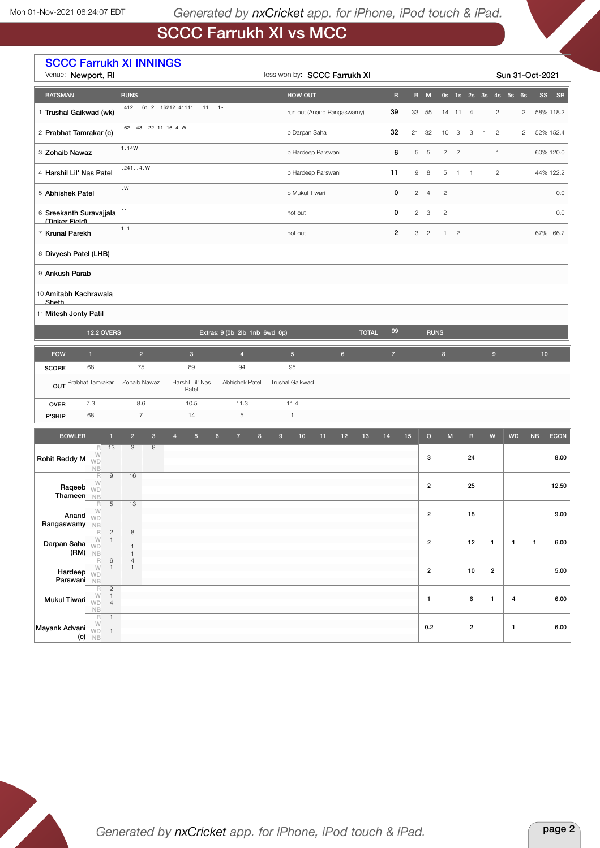# SCCC Farrukh XI vs MCC

| Venue: Newport, RI                        |                                                       | <b>SCCC Farrukh XI INNINGS</b>           |                                   |                                                      | Toss won by: SCCC Farrukh XI |                                        |    |                         |                |                         |                |                |                         |                |                         |                | Sun 31-Oct-2021      |
|-------------------------------------------|-------------------------------------------------------|------------------------------------------|-----------------------------------|------------------------------------------------------|------------------------------|----------------------------------------|----|-------------------------|----------------|-------------------------|----------------|----------------|-------------------------|----------------|-------------------------|----------------|----------------------|
| <b>BATSMAN</b>                            |                                                       | <b>RUNS</b>                              |                                   |                                                      | <b>HOW OUT</b>               |                                        |    | $\mathsf{R}$            |                | B M                     |                |                |                         |                | 0s 1s 2s 3s 4s 5s 6s    |                | SS<br><b>SR</b>      |
| 1 Trushal Gaikwad (wk)                    |                                                       |                                          | $.41261.216212.41111111-$         |                                                      |                              | run out (Anand Rangaswamy)             |    | 39                      | 33 55          |                         |                | 14 11 4        |                         |                | $\mathbf{2}$            | $\overline{c}$ | 58% 118.2            |
| 2 Prabhat Tamrakar (c)                    |                                                       | .624322.11.16.4.W                        |                                   |                                                      | b Darpan Saha                |                                        |    | 32                      | 21             | 32                      | 10             | 3              | 3                       | $\overline{1}$ | $\overline{c}$          | $\overline{c}$ | 52% 152.4            |
| 3 Zohaib Nawaz                            |                                                       | 1.14W                                    |                                   |                                                      |                              | 6<br>b Hardeep Parswani<br>$\,$ 5 $\,$ |    |                         |                |                         |                | $\overline{c}$ |                         |                | $\mathbf{1}$            |                | 60% 120.0            |
| 4 Harshil Lil' Nas Patel                  |                                                       | .2414.W                                  |                                   |                                                      |                              | b Hardeep Parswani                     |    | 11                      | 9              | 8                       | 5              | $1 \quad 1$    |                         |                | $\mathbf{2}$            |                | 44% 122.2            |
| 5 Abhishek Patel                          |                                                       | . $W$                                    |                                   |                                                      | b Mukul Tiwari               |                                        |    | 0                       | $\overline{2}$ | $\overline{4}$          | $\overline{c}$ |                |                         |                |                         |                | 0.0                  |
| 6 Sreekanth Suravajjala<br>(Tinker Field) |                                                       |                                          |                                   |                                                      | not out                      |                                        |    | 0                       | $\overline{c}$ | 3                       | $\overline{c}$ |                |                         |                |                         |                | 0.0                  |
| 7 Krunal Parekh                           |                                                       | 1.1                                      |                                   |                                                      | not out                      |                                        |    | $\overline{\mathbf{c}}$ |                | 3 <sup>2</sup>          |                | $1 \quad 2$    |                         |                |                         |                | 67% 66.7             |
| 8 Divyesh Patel (LHB)                     |                                                       |                                          |                                   |                                                      |                              |                                        |    |                         |                |                         |                |                |                         |                |                         |                |                      |
| 9 Ankush Parab                            |                                                       |                                          |                                   |                                                      |                              |                                        |    |                         |                |                         |                |                |                         |                |                         |                |                      |
| 10 Amitabh Kachrawala<br>Sheth            |                                                       |                                          |                                   |                                                      |                              |                                        |    |                         |                |                         |                |                |                         |                |                         |                |                      |
| 11 Mitesh Jonty Patil                     |                                                       |                                          |                                   |                                                      |                              |                                        |    |                         |                |                         |                |                |                         |                |                         |                |                      |
|                                           | <b>12.2 OVERS</b>                                     |                                          | Extras: 9 (0b 2lb 1nb 6wd 0p)     |                                                      | <b>TOTAL</b>                 | 99                                     |    | <b>RUNS</b>             |                |                         |                |                |                         |                |                         |                |                      |
| <b>FOW</b>                                | 1                                                     | 2 <sup>1</sup>                           | 3 <sup>2</sup>                    | $\overline{4}$                                       | 5 <sup>5</sup>               | 6 <sup>1</sup>                         |    | 7 <sup>7</sup>          |                |                         | 8 <sup>°</sup> |                |                         |                | $9$                     |                | 10                   |
| <b>SCORE</b>                              | 68                                                    | 75                                       | 89                                | 94                                                   | 95                           |                                        |    |                         |                |                         |                |                |                         |                |                         |                |                      |
|                                           |                                                       | OUT Prabhat Tamrakar  Zohaib Nawaz       | Harshil Lil' Nas<br>Patel         | Abhishek Patel                                       | Trushal Gaikwad              |                                        |    |                         |                |                         |                |                |                         |                |                         |                |                      |
| <b>OVER</b>                               | 7.3                                                   | 8.6                                      | 10.5                              | 11.3                                                 | 11.4                         |                                        |    |                         |                |                         |                |                |                         |                |                         |                |                      |
| P'SHIP                                    | 68                                                    | $\overline{7}$                           | 14                                | 5                                                    | $\mathbf{1}$                 |                                        |    |                         |                |                         |                |                |                         |                |                         |                |                      |
| <b>BOWLER</b>                             | $\mathbf{1}$<br>13<br>R                               | $\overline{2}$<br>$\mathbf{3}$<br>3<br>8 | $5\phantom{.0}$<br>$\overline{4}$ | $6\phantom{1}$<br>$\overline{7}$<br>$\boldsymbol{8}$ | 9<br>10                      | 12<br>11                               | 13 | 14                      | 15             | $\mathbf O$             | ${\sf M}$      |                | $\mathsf R$             | W              | <b>WD</b>               |                | NB<br><b>ECON</b>    |
| Rohit Reddy M                             | W<br><b>WD</b><br><b>NB</b>                           |                                          |                                   |                                                      |                              |                                        |    |                         |                | 3                       |                |                | 24                      |                |                         |                | 8.00                 |
| Raqeeb                                    | R<br>$\mathsf g$<br>W<br>WD                           | 16                                       |                                   |                                                      |                              |                                        |    |                         |                | $\overline{2}$          |                |                | 25                      |                |                         |                | 12.50                |
| Thameen                                   | <b>NB</b><br>R<br>5                                   | 13                                       |                                   |                                                      |                              |                                        |    |                         |                |                         |                |                |                         |                |                         |                |                      |
| Rangaswamy NB                             | Anand $\frac{W}{WD}$                                  |                                          |                                   |                                                      |                              |                                        |    |                         |                | $\mathbf 2$             |                |                | ${\bf 18}$              |                |                         |                | $9.00\,$             |
| Darpan Saha WD<br>(RM)                    | R<br>$\overline{c}$<br>W<br>$\mathbf{1}$<br><b>NB</b> | 8<br>$\mathbf{1}$<br>$\overline{1}$      |                                   |                                                      |                              |                                        |    |                         |                | $\overline{\mathbf{c}}$ |                |                | 12                      | $\mathbf{1}$   | $\mathbf{1}$            |                | 6.00<br>$\mathbf{1}$ |
| Hardeep $W\Box$                           | $\mathbb{R}$<br>$\,6\,$<br>W<br>$\mathbf{1}$          | $\overline{4}$<br>$\mathbf{1}$           |                                   |                                                      |                              |                                        |    |                         |                | $\mathbf 2$             |                |                | $10\,$                  | $\mathbf 2$    |                         |                | 5.00                 |
| Parswani NB                               | $\mathbb R$<br>$\overline{c}$<br>W<br>$\mathbf{1}$    |                                          |                                   |                                                      |                              |                                        |    |                         |                |                         |                |                |                         |                |                         |                |                      |
| Mukul Tiwari WD                           | $\overline{4}$<br>NB<br>R<br>$\mathbf{1}$             |                                          |                                   |                                                      |                              |                                        |    |                         |                | $\mathbf 1$             |                |                | 6                       | $\mathbf{1}$   | $\overline{\mathbf{4}}$ |                | 6.00                 |
| Mayank Advani                             | W<br>$\overline{1}$<br>$(c)$ NB                       |                                          |                                   |                                                      |                              |                                        |    |                         |                | 0.2                     |                |                | $\overline{\mathbf{c}}$ |                | $\mathbf{1}$            |                | 6.00                 |

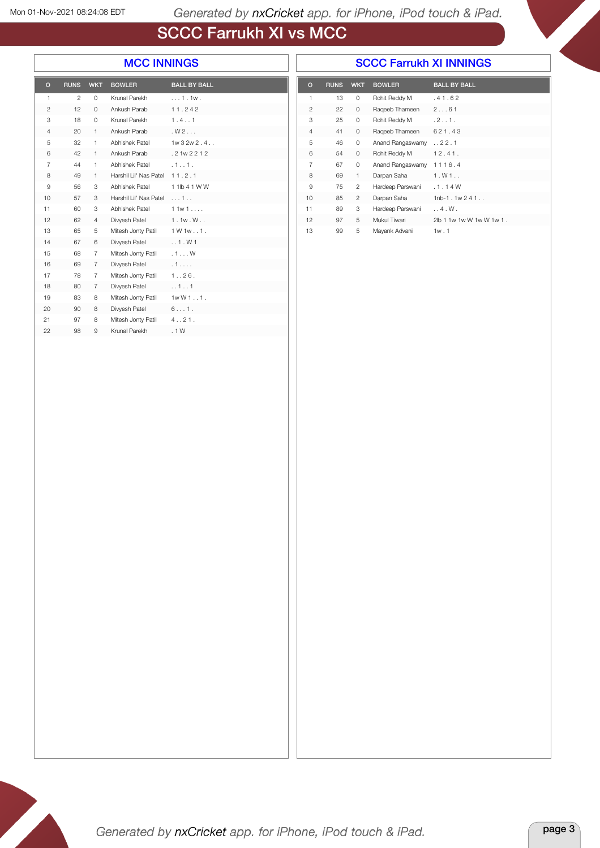## SCCC Farrukh XI vs MCC

#### MCC INNINGS

| $\circ$        | <b>RUNS</b>    | <b>WKT</b>     | <b>BOWLER</b>           | <b>BALL BY BALL</b> |
|----------------|----------------|----------------|-------------------------|---------------------|
| $\mathbf{1}$   | $\overline{c}$ | $\circ$        | Krunal Parekh           | 1.1w.               |
| $\overline{c}$ | 12             | 0              | Ankush Parab            | 11.242              |
| 3              | 18             | $\Omega$       | Krunal Parekh           | 1.4.1               |
| $\overline{4}$ | 20             | 1              | Ankush Parab            | W2                  |
| 5              | 32             | $\mathbf{1}$   | Abhishek Patel          | 1w32w2.4            |
| 6              | 42             | 1              | Ankush Parab            | .2 1w 2 2 1 2       |
| 7              | 44             | 1              | Abhishek Patel          | .1.01.              |
| 8              | 49             | 1              | Harshil I il' Nas Patel | 11.2.1              |
| 9              | 56             | 3              | Abhishek Patel          | 1 1lb 4 1 W W       |
| 10             | 57             | 3              | Harshil Lil' Nas Patel  | 1                   |
| 11             | 60             | 3              | Abhishek Patel          | 11w1                |
| 12             | 62             | $\overline{4}$ | Divyesh Patel           | 1.1w.W.             |
| 13             | 65             | 5              | Mitesh Jonty Patil      | 1 W 1 w 1 .         |
| 14             | 67             | 6              | Divvesh Patel           | . . 1. W1           |
| 15             | 68             | 7              | Mitesh Jonty Patil      | .1W                 |
| 16             | 69             | 7              | Divyesh Patel           | .1.1.1              |
| 17             | 78             | 7              | Mitesh Jonty Patil      | 1.026.              |
| 18             | 80             | $\overline{7}$ | Divyesh Patel           | 1 1                 |
| 19             | 83             | 8              | Mitesh Jonty Patil      | $1wW11$ .           |
| 20             | 90             | 8              | Divyesh Patel           | $61$ .              |
| 21             | 97             | 8              | Mitesh Jonty Patil      | 4.121.              |
| 22             | 98             | 9              | Krunal Parekh           | . 1 W               |

|          | <b>SCCC Farrukh XI INNINGS</b> |                |                  |                     |  |  |  |  |  |  |  |  |  |
|----------|--------------------------------|----------------|------------------|---------------------|--|--|--|--|--|--|--|--|--|
| $\Omega$ | <b>RUNS</b>                    | <b>WKT</b>     | <b>BOWLER</b>    | <b>BALL BY BALL</b> |  |  |  |  |  |  |  |  |  |
| 1        | 13                             | 0              | Rohit Reddy M    | .41.62              |  |  |  |  |  |  |  |  |  |
| 2        | 22                             | $\mathbf 0$    | Rageeb Thameen   | 261                 |  |  |  |  |  |  |  |  |  |
| 3        | 25                             | $\Omega$       | Rohit Reddy M    | .2.1.               |  |  |  |  |  |  |  |  |  |
| 4        | 41                             | $\mathbf 0$    | Rageeb Thameen   | 621.43              |  |  |  |  |  |  |  |  |  |
| 5        | 46                             | 0              | Anand Rangaswamy | . . 22.1            |  |  |  |  |  |  |  |  |  |
| 6        | 54                             | $\Omega$       | Rohit Reddy M    | 12.41.              |  |  |  |  |  |  |  |  |  |
| 7        | 67                             | $\Omega$       | Anand Rangaswamy | 1116.4              |  |  |  |  |  |  |  |  |  |
| 8        | 69                             | 1              | Darpan Saha      | 1. W1.              |  |  |  |  |  |  |  |  |  |
| 9        | 75                             | 2              | Hardeep Parswani | .1.14W              |  |  |  |  |  |  |  |  |  |
| 10       | 85                             | $\mathfrak{p}$ | Darpan Saha      | $1nb-1.1w$ $241$    |  |  |  |  |  |  |  |  |  |

11 89 3 Hardeep Parswani . . 4 . W .

99 5 Mayank Advani 1w . 1

97 5 Mukul Tiwari 2lb 1 1w 1w W 1w W 1w 1 .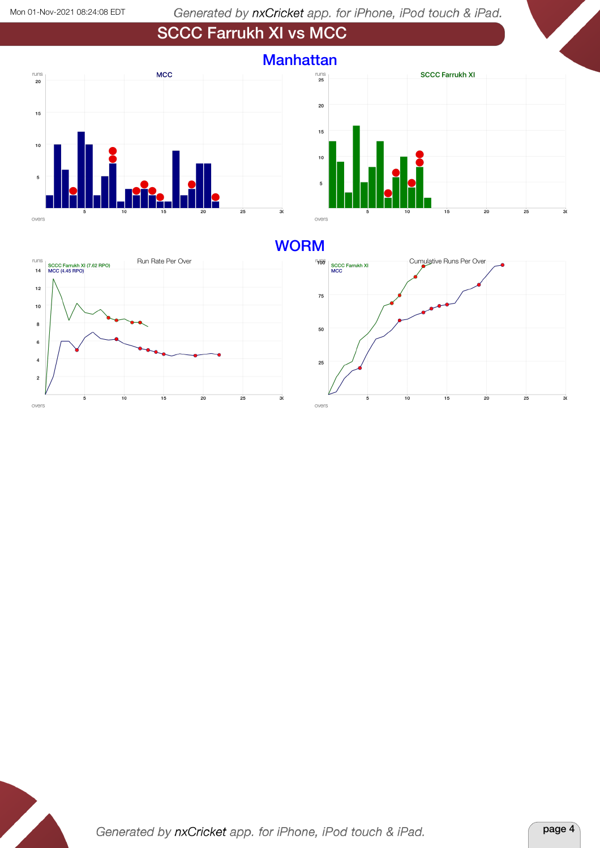





### **WORM**